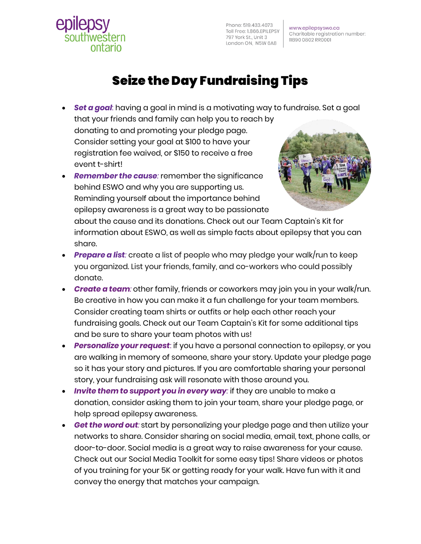Phone: 519.433.4073 Toll Free: 1.866.EPILEPSY 797 York St., Unit 3 London ON, N5W 6A8

www.epilepsyswo.ca Charitable registration number: 11890 0802 RR0001

## Seize the Day Fundraising Tips

- *Set a goal*: having a goal in mind is a motivating way to fundraise. Set a goal that your friends and family can help you to reach by donating to and promoting your pledge page. Consider setting your goal at \$100 to have your registration fee waived, or \$150 to receive a free event t-shirt!
- *Remember the cause:* remember the significance behind ESWO and why you are supporting us. Reminding yourself about the importance behind epilepsy awareness is a great way to be passionate

ontario



about the cause and its donations. Check out our Team Captain's Kit for information about ESWO, as well as simple facts about epilepsy that you can share.

- *Prepare a list:* create a list of people who may pledge your walk/run to keep you organized. List your friends, family, and co-workers who could possibly donate.
- *Create a team:* other family, friends or coworkers may join you in your walk/run. Be creative in how you can make it a fun challenge for your team members. Consider creating team shirts or outfits or help each other reach your fundraising goals. Check out our Team Captain's Kit for some additional tips and be sure to share your team photos with us!
- *Personalize your request*: if you have a personal connection to epilepsy, or you are walking in memory of someone, share your story. Update your pledge page so it has your story and pictures. If you are comfortable sharing your personal story, your fundraising ask will resonate with those around you.
- *Invite them to support you in every way:* if they are unable to make a donation, consider asking them to join your team, share your pledge page, or help spread epilepsy awareness.
- *Get the word out:* start by personalizing your pledge page and then utilize your networks to share. Consider sharing on social media, email, text, phone calls, or door-to-door. Social media is a great way to raise awareness for your cause. Check out our Social Media Toolkit for some easy tips! Share videos or photos of you training for your 5K or getting ready for your walk. Have fun with it and convey the energy that matches your campaign.